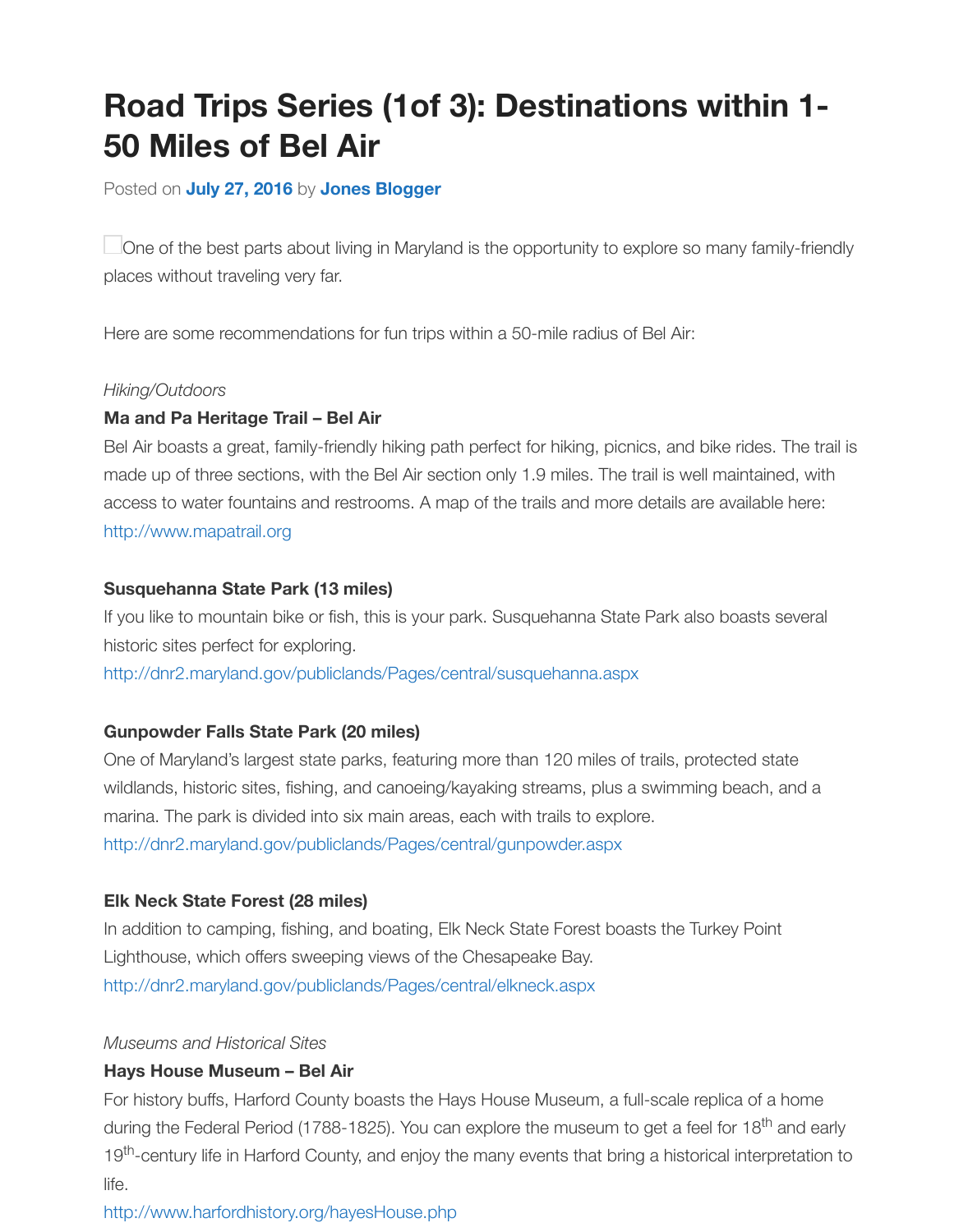### Posted on **July 27, 2016** by **Jones Blogger**

One of the best parts about living in Maryland is the opportunity to explore so many family-frie places without traveling very far.

Here are some recommendations for fun trips within a 50-mile radius of Bel Air:

#### *Hiking/Outdoors*

### **Ma and Pa Heritage Trail – Bel Air**

Bel Air boasts a great, family-friendly hiking path perfect for hiking, picnics, and bike rides. The ti made up of three sections, with the Bel Air section only 1.9 miles. The trail is well maintained, with access to water fountains and restrooms. A map of the trails and more details are available here: http://www.mapatrail.org

### **Susquehanna State Park (13 miles)**

If you like to mountain bike or fish, this is your park. Susquehanna State Park also boasts several historic sites perfect for exploring.

http://dnr2.maryland.gov/publiclands/Pages/central/susquehanna.aspx

#### **Gunpowder Falls State Park (20 miles)**

One of Maryland's largest state parks, featuring more than 120 miles of trails, protected state wildlands, historic sites, fishing, and canoeing/kayaking streams, plus a swimming beach, and a marina. The park is divided into six main areas, each with trails to explore. [http://dnr2.maryland.gov/publiclands/Pages/central/gunpowder.aspx](http://dnr2.maryland.gov/publiclands/Pages/central/susquehanna.aspx)

#### **Elk Neck State Forest (28 miles)**

In addition to camping, fishing, and boating, Elk Neck State Forest boasts the Turkey Point Lighthouse, which offers sweeping views of the Chesapeake Bay. http://dnr2.maryland.gov/publiclands/Pages/central/elkneck.aspx

#### *Museums and Historical Sites*

#### **Hays House Museum – Bel Air**

For history buffs, Harford County boasts the Hays House Museum, a full-scale replica of a home during the Federal Period (1788-1825). You can explore the museum to get a feel for 18<sup>th</sup> and ea 19<sup>th</sup>[-century life in Harford County, and enjoy the many events tha](http://dnr2.maryland.gov/publiclands/Pages/central/elkneck.aspx)t bring a historical interpretatio life.

### http://www.harfordhistory.org/hayesHouse.php